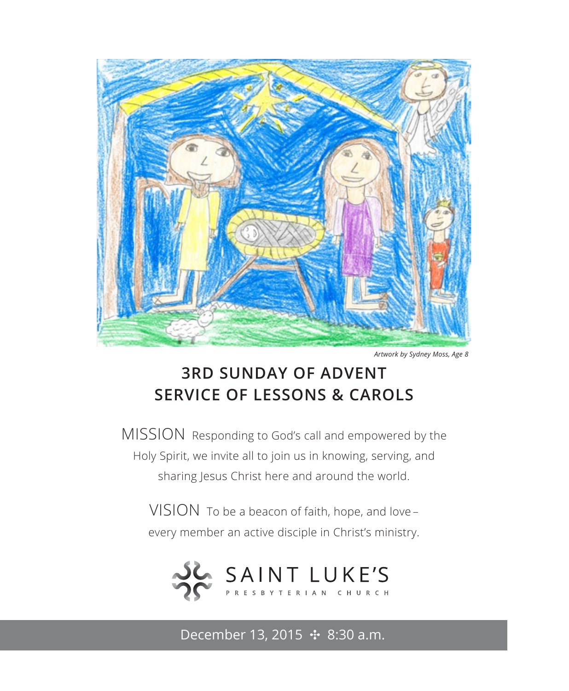

*Artwork by Sydney Moss, Age 8*

## **3RD SUNDAY OF ADVENT SERVICE OF LESSONS & CAROLS**

MISSION Responding to God's call and empowered by the Holy Spirit, we invite all to join us in knowing, serving, and sharing Jesus Christ here and around the world.

VISION To be a beacon of faith, hope, and love – every member an active disciple in Christ's ministry.



December 13, 2015 **↔** 8:30 a.m.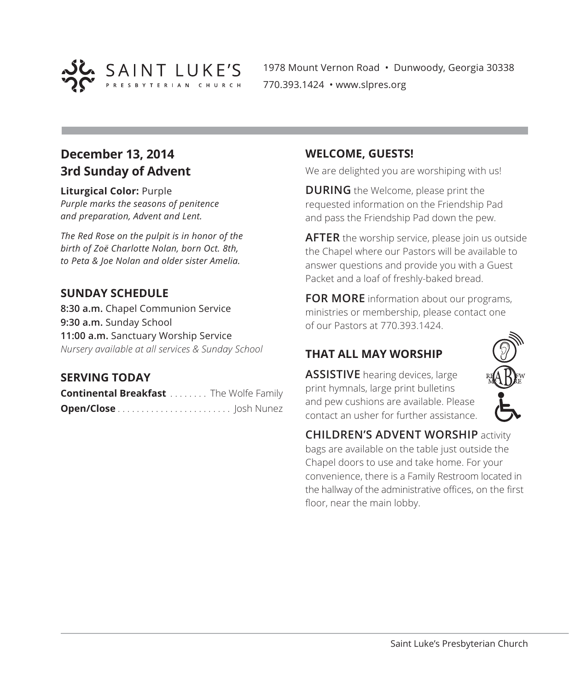

1978 Mount Vernon Road • Dunwoody, Georgia 30338 770.393.1424 • www.slpres.org

## **December 13, 2014 3rd Sunday of Advent**

**Liturgical Color:** Purple *Purple marks the seasons of penitence and preparation, Advent and Lent.* 

*The Red Rose on the pulpit is in honor of the birth of Zoë Charlotte Nolan, born Oct. 8th, to Peta & Joe Nolan and older sister Amelia.*

#### **SUNDAY SCHEDULE**

**8:30 a.m.** Chapel Communion Service **9:30 a.m.** Sunday School **11:00 a.m.** Sanctuary Worship Service *Nursery available at all services & Sunday School*

#### **SERVING TODAY**

**Continental Breakfast** . . . . . . . . The Wolfe Family **Open/Close** . . . . . . . . . . . . . . . . . . . . . . . . Josh Nunez

#### **WELCOME, GUESTS!**

We are delighted you are worshiping with us!

**DURING** the Welcome, please print the requested information on the Friendship Pad and pass the Friendship Pad down the pew.

**AFTER** the worship service, please join us outside the Chapel where our Pastors will be available to answer questions and provide you with a Guest Packet and a loaf of freshly-baked bread.

**FOR MORE** information about our programs, ministries or membership, please contact one of our Pastors at 770.393.1424.

### **THAT ALL MAY WORSHIP**

**ASSISTIVE** hearing devices, large print hymnals, large print bulletins and pew cushions are available. Please contact an usher for further assistance.



**CHILDREN'S ADVENT WORSHIP** activity bags are available on the table just outside the Chapel doors to use and take home. For your convenience, there is a Family Restroom located in the hallway of the administrative offices, on the first floor, near the main lobby.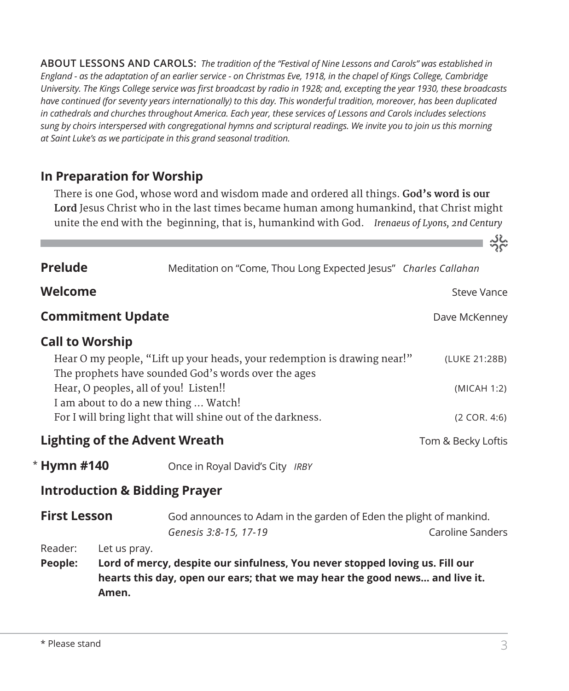**ABOUT LESSONS AND CAROLS:** *The tradition of the "Festival of Nine Lessons and Carols" was established in England - as the adaptation of an earlier service - on Christmas Eve, 1918, in the chapel of Kings College, Cambridge University. The Kings College service was first broadcast by radio in 1928; and, excepting the year 1930, these broadcasts have continued (for seventy years internationally) to this day. This wonderful tradition, moreover, has been duplicated in cathedrals and churches throughout America. Each year, these services of Lessons and Carols includes selections sung by choirs interspersed with congregational hymns and scriptural readings. We invite you to join us this morning at Saint Luke's as we participate in this grand seasonal tradition.*

## **In Preparation for Worship**

There is one God, whose word and wisdom made and ordered all things. **God's word is our Lord** Jesus Christ who in the last times became human among humankind, that Christ might unite the end with the beginning, that is, humankind with God. *Irenaeus of Lyons, 2nd Century* 

| <b>Prelude</b>                                                                                                      |                       | Meditation on "Come, Thou Long Expected Jesus" Charles Callahan                                                                                             |                    |  |  |
|---------------------------------------------------------------------------------------------------------------------|-----------------------|-------------------------------------------------------------------------------------------------------------------------------------------------------------|--------------------|--|--|
| Welcome                                                                                                             |                       |                                                                                                                                                             | Steve Vance        |  |  |
| <b>Commitment Update</b>                                                                                            |                       |                                                                                                                                                             | Dave McKenney      |  |  |
| <b>Call to Worship</b><br>Hear O my people, "Lift up your heads, your redemption is drawing near!"<br>(LUKE 21:28B) |                       |                                                                                                                                                             |                    |  |  |
| The prophets have sounded God's words over the ages<br>Hear, O peoples, all of you! Listen!!<br>(MICAH 1:2)         |                       |                                                                                                                                                             |                    |  |  |
| I am about to do a new thing  Watch!<br>For I will bring light that will shine out of the darkness.                 | (2 COR. 4:6)          |                                                                                                                                                             |                    |  |  |
| <b>Lighting of the Advent Wreath</b>                                                                                |                       |                                                                                                                                                             | Tom & Becky Loftis |  |  |
| <b>Hymn #140</b>                                                                                                    |                       | Once in Royal David's City IRBY                                                                                                                             |                    |  |  |
| <b>Introduction &amp; Bidding Prayer</b>                                                                            |                       |                                                                                                                                                             |                    |  |  |
| <b>First Lesson</b>                                                                                                 |                       | God announces to Adam in the garden of Eden the plight of mankind.<br>Caroline Sanders<br>Genesis 3:8-15, 17-19                                             |                    |  |  |
| Reader:<br>People:                                                                                                  | Let us pray.<br>Amen. | Lord of mercy, despite our sinfulness, You never stopped loving us. Fill our<br>hearts this day, open our ears; that we may hear the good news and live it. |                    |  |  |

\*

<u>ာင်</u><br>၁၉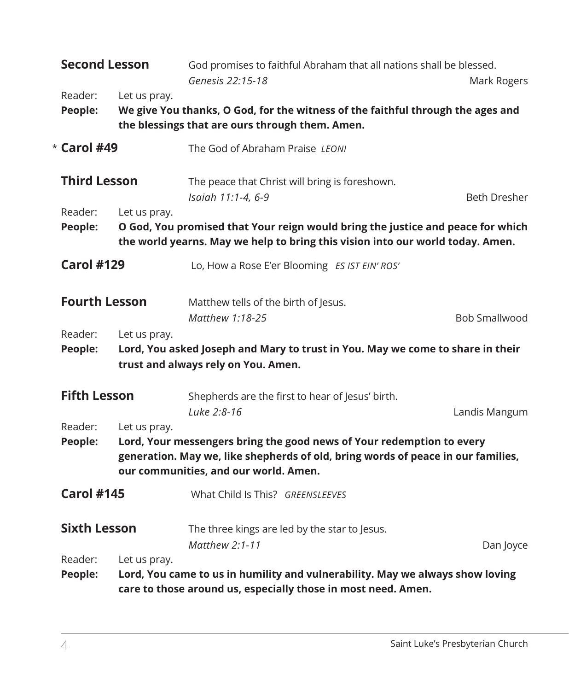| <b>Second Lesson</b>                                                                                                                                                         |                                                                                                                                                    | God promises to faithful Abraham that all nations shall be blessed.<br>Genesis 22:15-18                                                                                                            | Mark Rogers          |  |  |
|------------------------------------------------------------------------------------------------------------------------------------------------------------------------------|----------------------------------------------------------------------------------------------------------------------------------------------------|----------------------------------------------------------------------------------------------------------------------------------------------------------------------------------------------------|----------------------|--|--|
| Reader:<br>People:                                                                                                                                                           | Let us pray.<br>We give You thanks, O God, for the witness of the faithful through the ages and<br>the blessings that are ours through them. Amen. |                                                                                                                                                                                                    |                      |  |  |
| $*$ Carol #49                                                                                                                                                                |                                                                                                                                                    | The God of Abraham Praise LEONI                                                                                                                                                                    |                      |  |  |
| <b>Third Lesson</b><br>Reader:                                                                                                                                               | Let us pray.                                                                                                                                       | The peace that Christ will bring is foreshown.<br>Isaiah 11:1-4, 6-9                                                                                                                               | <b>Beth Dresher</b>  |  |  |
| O God, You promised that Your reign would bring the justice and peace for which<br>People:<br>the world yearns. May we help to bring this vision into our world today. Amen. |                                                                                                                                                    |                                                                                                                                                                                                    |                      |  |  |
| <b>Carol #129</b>                                                                                                                                                            |                                                                                                                                                    | Lo, How a Rose E'er Blooming ES IST EIN' ROS'                                                                                                                                                      |                      |  |  |
| <b>Fourth Lesson</b>                                                                                                                                                         |                                                                                                                                                    | Matthew tells of the birth of Jesus.<br>Matthew 1:18-25                                                                                                                                            | <b>Bob Smallwood</b> |  |  |
| Reader:<br>People:                                                                                                                                                           | Let us pray.                                                                                                                                       | Lord, You asked Joseph and Mary to trust in You. May we come to share in their<br>trust and always rely on You. Amen.                                                                              |                      |  |  |
| <b>Fifth Lesson</b>                                                                                                                                                          |                                                                                                                                                    | Shepherds are the first to hear of Jesus' birth.<br>Luke 2:8-16                                                                                                                                    | Landis Mangum        |  |  |
| Reader:<br>People:                                                                                                                                                           | Let us pray.                                                                                                                                       | Lord, Your messengers bring the good news of Your redemption to every<br>generation. May we, like shepherds of old, bring words of peace in our families,<br>our communities, and our world. Amen. |                      |  |  |
| <b>Carol #145</b>                                                                                                                                                            |                                                                                                                                                    | What Child Is This? GREENSLEEVES                                                                                                                                                                   |                      |  |  |
| <b>Sixth Lesson</b>                                                                                                                                                          |                                                                                                                                                    | The three kings are led by the star to Jesus.<br>Matthew 2:1-11                                                                                                                                    | Dan Joyce            |  |  |
| Reader:<br>People:                                                                                                                                                           | Let us pray.                                                                                                                                       | Lord, You came to us in humility and vulnerability. May we always show loving<br>care to those around us, especially those in most need. Amen.                                                     |                      |  |  |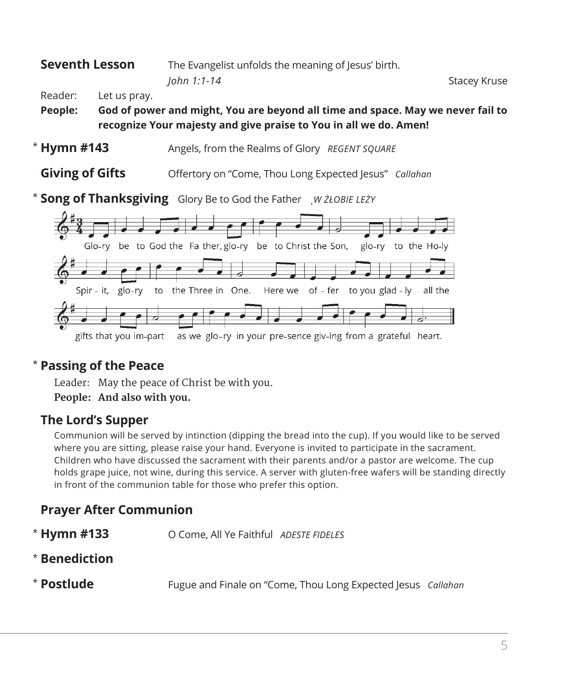## **Seventh Lesson** The Evangelist unfolds the meaning of Jesus' birth. *John 1:1-14* Stacey Kruse

Reader: Let us pray.

**People: God of power and might, You are beyond all time and space. May we never fail to recognize Your majesty and give praise to You in all we do. Amen!**

- Angels, from the Realms of Glory *REGENT SQUARE*  $*$  Hymn #143
- **Giving of Gifts** Offertory on "Come, Thou Long Expected Jesus" *Callahan*

**Song of Thanksgiving** Glory Be to God the Father *˛W ŻŁOBIE LEŻY* \*



#### **Passing of the Peace** \*

Leader: May the peace of Christ be with you.

**People: And also with you.**

## **The Lord's Supper**

Communion will be served by intinction (dipping the bread into the cup). If you would like to be served where you are sitting, please raise your hand. Everyone is invited to participate in the sacrament. Children who have discussed the sacrament with their parents and/or a pastor are welcome. The cup holds grape juice, not wine, during this service. A server with gluten-free wafers will be standing directly in front of the communion table for those who prefer this option.

## **Prayer After Communion**

- **Hymn #133** O Come, All Ye Faithful *ADESTE FIDELES* \* Hymn #133
- **Benediction** \*
- **Postlude** Fugue and Finale on "Come, Thou Long Expected Jesus *Callahan* \* Postlude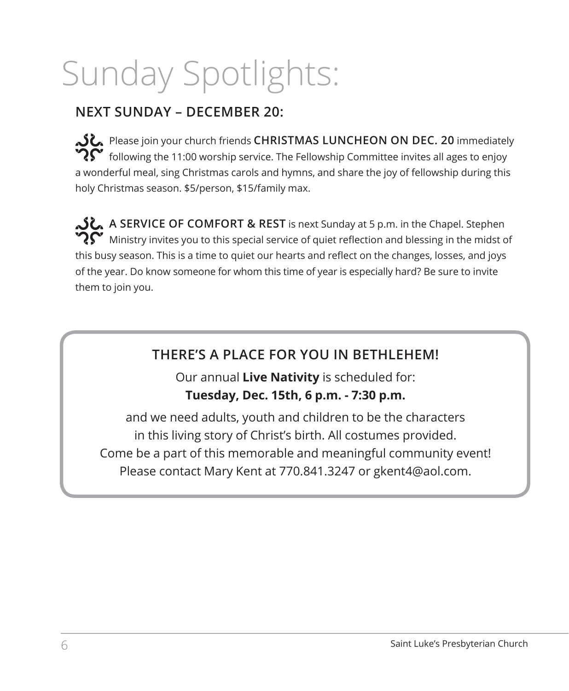# Sunday Spotlights:

## **NEXT SUNDAY – DECEMBER 20:**

Please join your church friends **CHRISTMAS LUNCHEON ON DEC. 20** immediately  $\mathbf{\hat{P}}\mathbf{\hat{S}}'$  following the 11:00 worship service. The Fellowship Committee invites all ages to enjoy a wonderful meal, sing Christmas carols and hymns, and share the joy of fellowship during this holy Christmas season. \$5/person, \$15/family max.

**A SERVICE OF COMFORT & REST** is next Sunday at 5 p.m. in the Chapel. Stephen  $\boldsymbol{R}$ Ministry invites you to this special service of quiet reflection and blessing in the midst of this busy season. This is a time to quiet our hearts and reflect on the changes, losses, and joys of the year. Do know someone for whom this time of year is especially hard? Be sure to invite them to join you.

## **THERE'S A PLACE FOR YOU IN BETHLEHEM!**

Our annual **Live Nativity** is scheduled for: **Tuesday, Dec. 15th, 6 p.m. - 7:30 p.m.**

and we need adults, youth and children to be the characters in this living story of Christ's birth. All costumes provided. Come be a part of this memorable and meaningful community event! Please contact Mary Kent at 770.841.3247 or gkent4@aol.com.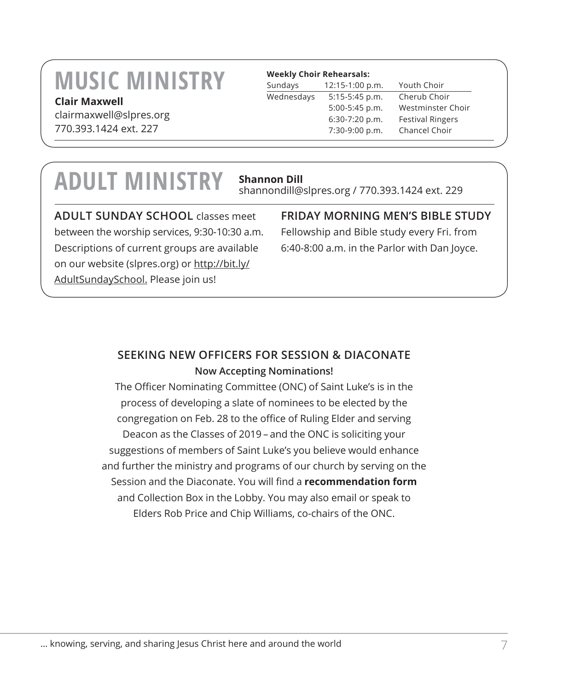## **MUSIC MINISTRY**

#### **Clair Maxwell**

clairmaxwell@slpres.org 770.393.1424 ext. 227

#### **Weekly Choir Rehearsals:**

| Sundays    | 12:15-1:00 p.m. | Youth Choir             |
|------------|-----------------|-------------------------|
| Wednesdays | 5:15-5:45 p.m.  | Cherub Choir            |
|            | 5:00-5:45 p.m.  | Westminster Choir       |
|            | 6:30-7:20 p.m.  | <b>Festival Ringers</b> |
|            | 7:30-9:00 p.m.  | Chancel Choir           |

## **ADULT MINISTRY Shannon Dill**

shannondill@slpres.org / 770.393.1424 ext. 229

**ADULT SUNDAY SCHOOL** classes meet between the worship services, 9:30-10:30 a.m. Descriptions of current groups are available on our website (slpres.org) or http://bit.ly/ AdultSundaySchool. Please join us!

## **FRIDAY MORNING MEN'S BIBLE STUDY**

Fellowship and Bible study every Fri. from 6:40-8:00 a.m. in the Parlor with Dan Joyce.

## **SEEKING NEW OFFICERS FOR SESSION & DIACONATE Now Accepting Nominations!**

The Officer Nominating Committee (ONC) of Saint Luke's is in the process of developing a slate of nominees to be elected by the congregation on Feb. 28 to the office of Ruling Elder and serving Deacon as the Classes of 2019 – and the ONC is soliciting your suggestions of members of Saint Luke's you believe would enhance and further the ministry and programs of our church by serving on the Session and the Diaconate. You will find a **recommendation form** and Collection Box in the Lobby. You may also email or speak to Elders Rob Price and Chip Williams, co-chairs of the ONC.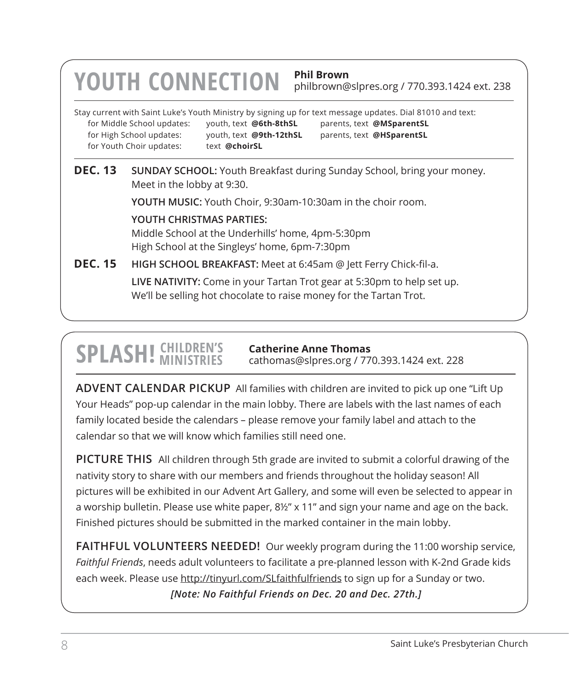## Stay current with Saint Luke's Youth Ministry by signing up for text message updates. Dial 81010 and text: for Middle School updates: youth, text **@6th-8thSL** parents, text **@MSparentSL** for High School updates: youth, text **@9th-12thSL** parents, text **@HSparentSL** for Youth Choir updates: text @choirSL **YOUTH CONNECTION Phil Brown** philbrown@slpres.org / 770.393.1424 ext. 238 **DEC. 13 SUNDAY SCHOOL:** Youth Breakfast during Sunday School, bring your money. Meet in the lobby at 9:30. **YOUTH MUSIC:** Youth Choir, 9:30am-10:30am in the choir room.  **YOUTH CHRISTMAS PARTIES:**  Middle School at the Underhills' home, 4pm-5:30pm High School at the Singleys' home, 6pm-7:30pm **DEC. 15 HIGH SCHOOL BREAKFAST:** Meet at 6:45am @ Jett Ferry Chick-fil-a. **LIVE NATIVITY:** Come in your Tartan Trot gear at 5:30pm to help set up. We'll be selling hot chocolate to raise money for the Tartan Trot.

## **SPLASH! CHILDREN'S**

**Catherine Anne Thomas** cathomas@slpres.org / 770.393.1424 ext. 228

**ADVENT CALENDAR PICKUP** All families with children are invited to pick up one "Lift Up Your Heads" pop-up calendar in the main lobby. There are labels with the last names of each family located beside the calendars – please remove your family label and attach to the calendar so that we will know which families still need one.

**PICTURE THIS** All children through 5th grade are invited to submit a colorful drawing of the nativity story to share with our members and friends throughout the holiday season! All pictures will be exhibited in our Advent Art Gallery, and some will even be selected to appear in a worship bulletin. Please use white paper, 8½" x 11" and sign your name and age on the back. Finished pictures should be submitted in the marked container in the main lobby.

**FAITHFUL VOLUNTEERS NEEDED!** Our weekly program during the 11:00 worship service, *Faithful Friends*, needs adult volunteers to facilitate a pre-planned lesson with K-2nd Grade kids each week. Please use http://tinyurl.com/SLfaithfulfriends to sign up for a Sunday or two. *[Note: No Faithful Friends on Dec. 20 and Dec. 27th.]*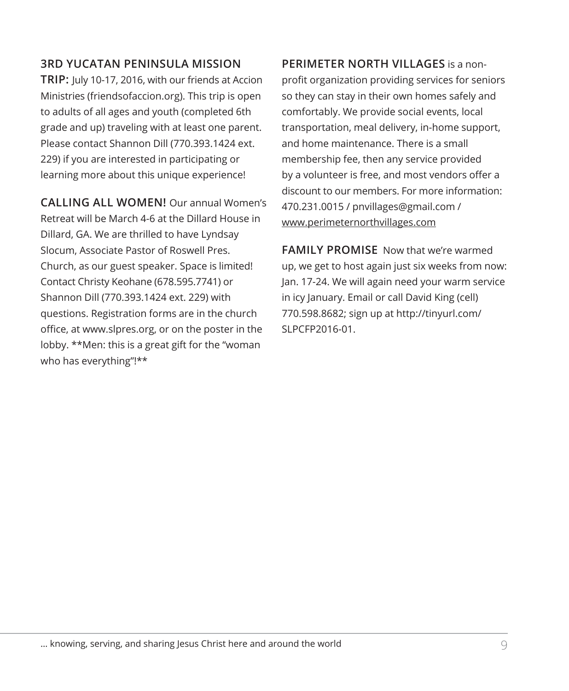#### **3RD YUCATAN PENINSULA MISSION**

**TRIP:** July 10-17, 2016, with our friends at Accion Ministries (friendsofaccion.org). This trip is open to adults of all ages and youth (completed 6th grade and up) traveling with at least one parent. Please contact Shannon Dill (770.393.1424 ext. 229) if you are interested in participating or learning more about this unique experience!

**CALLING ALL WOMEN!** Our annual Women's Retreat will be March 4-6 at the Dillard House in Dillard, GA. We are thrilled to have Lyndsay Slocum, Associate Pastor of Roswell Pres. Church, as our guest speaker. Space is limited! Contact Christy Keohane (678.595.7741) or Shannon Dill (770.393.1424 ext. 229) with questions. Registration forms are in the church office, at www.slpres.org, or on the poster in the lobby. \*\*Men: this is a great gift for the "woman who has everything"!\*\*

**PERIMETER NORTH VILLAGES** is a nonprofit organization providing services for seniors so they can stay in their own homes safely and comfortably. We provide social events, local transportation, meal delivery, in-home support, and home maintenance. There is a small membership fee, then any service provided by a volunteer is free, and most vendors offer a discount to our members. For more information: 470.231.0015 / pnvillages@gmail.com / www.perimeternorthvillages.com

**FAMILY PROMISE** Now that we're warmed up, we get to host again just six weeks from now: Jan. 17-24. We will again need your warm service in icy January. Email or call David King (cell) 770.598.8682; sign up at http://tinyurl.com/ SLPCFP2016-01.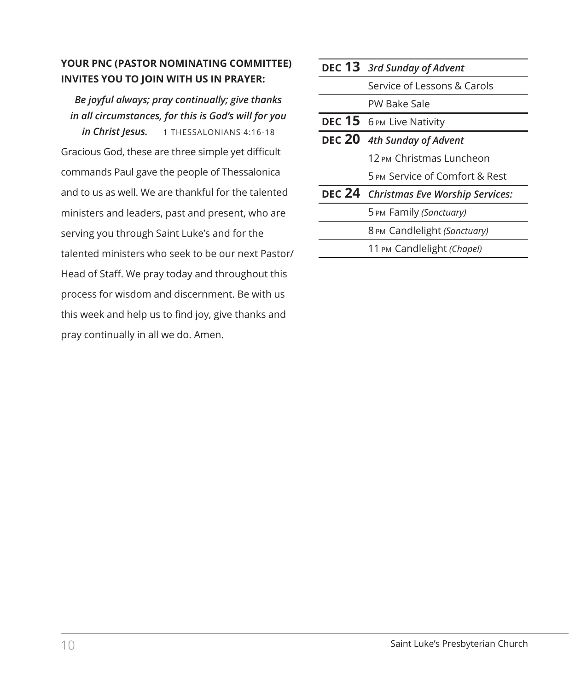#### **YOUR PNC (PASTOR NOMINATING COMMITTEE) INVITES YOU TO JOIN WITH US IN PRAYER:**

*Be joyful always; pray continually; give thanks in all circumstances, for this is God's will for you in Christ Jesus.* 1 THESSALONIANS 4:16-18 Gracious God, these are three simple yet difficult commands Paul gave the people of Thessalonica and to us as well. We are thankful for the talented ministers and leaders, past and present, who are serving you through Saint Luke's and for the talented ministers who seek to be our next Pastor/ Head of Staff. We pray today and throughout this process for wisdom and discernment. Be with us this week and help us to find joy, give thanks and pray continually in all we do. Amen.

| <b>DEC 13</b> 3rd Sunday of Advent     |
|----------------------------------------|
| Service of Lessons & Carols            |
| PW Bake Sale                           |
| DEC 15 6 PM Live Nativity              |
| DEC 20 4th Sunday of Advent            |
| 12 вм Christmas Luncheon               |
| 5 PM Service of Comfort & Rest         |
| DEC 24 Christmas Eve Worship Services: |
| 5 PM Family (Sanctuary)                |
| 8 PM Candlelight (Sanctuary)           |
| 11 PM Candlelight (Chapel)             |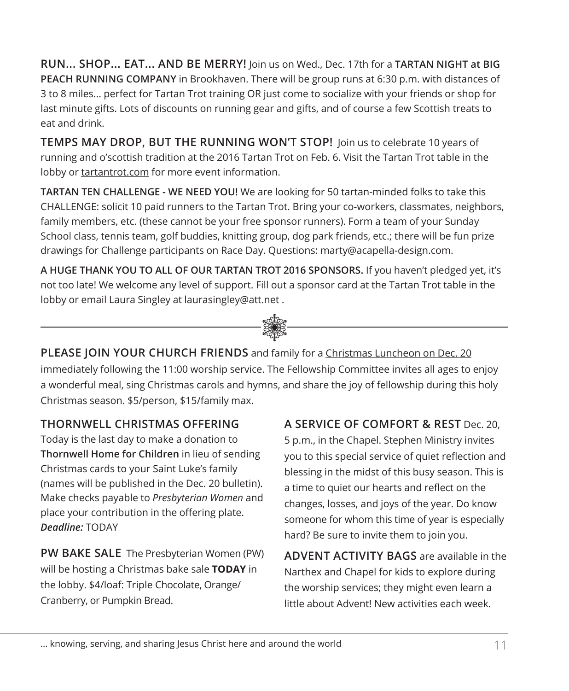**RUN... SHOP... EAT... AND BE MERRY!** Join us on Wed., Dec. 17th for a **TARTAN NIGHT at BIG PEACH RUNNING COMPANY** in Brookhaven. There will be group runs at 6:30 p.m. with distances of 3 to 8 miles... perfect for Tartan Trot training OR just come to socialize with your friends or shop for last minute gifts. Lots of discounts on running gear and gifts, and of course a few Scottish treats to eat and drink.

**TEMPS MAY DROP, BUT THE RUNNING WON'T STOP!** Join us to celebrate 10 years of running and o'scottish tradition at the 2016 Tartan Trot on Feb. 6. Visit the Tartan Trot table in the lobby or tartantrot.com for more event information.

**TARTAN TEN CHALLENGE - WE NEED YOU!** We are looking for 50 tartan-minded folks to take this CHALLENGE: solicit 10 paid runners to the Tartan Trot. Bring your co-workers, classmates, neighbors, family members, etc. (these cannot be your free sponsor runners). Form a team of your Sunday School class, tennis team, golf buddies, knitting group, dog park friends, etc.; there will be fun prize drawings for Challenge participants on Race Day. Questions: marty@acapella-design.com.

j **A HUGE THANK YOU TO ALL OF OUR TARTAN TROT 2016 SPONSORS.** If you haven't pledged yet, it's not too late! We welcome any level of support. Fill out a sponsor card at the Tartan Trot table in the lobby or email Laura Singley at laurasingley@att.net .

**PLEASE JOIN YOUR CHURCH FRIENDS** and family for a Christmas Luncheon on Dec. 20 immediately following the 11:00 worship service. The Fellowship Committee invites all ages to enjoy a wonderful meal, sing Christmas carols and hymns, and share the joy of fellowship during this holy Christmas season. \$5/person, \$15/family max.

### **THORNWELL CHRISTMAS OFFERING**

Today is the last day to make a donation to **Thornwell Home for Children** in lieu of sending Christmas cards to your Saint Luke's family (names will be published in the Dec. 20 bulletin). Make checks payable to *Presbyterian Women* and place your contribution in the offering plate. *Deadline:* TODAY

**PW BAKE SALE** The Presbyterian Women (PW) will be hosting a Christmas bake sale **TODAY** in the lobby. \$4/loaf: Triple Chocolate, Orange/ Cranberry, or Pumpkin Bread.

**A SERVICE OF COMFORT & REST** Dec. 20, 5 p.m., in the Chapel. Stephen Ministry invites you to this special service of quiet reflection and blessing in the midst of this busy season. This is a time to quiet our hearts and reflect on the changes, losses, and joys of the year. Do know someone for whom this time of year is especially hard? Be sure to invite them to join you.

**ADVENT ACTIVITY BAGS** are available in the Narthex and Chapel for kids to explore during the worship services; they might even learn a little about Advent! New activities each week.